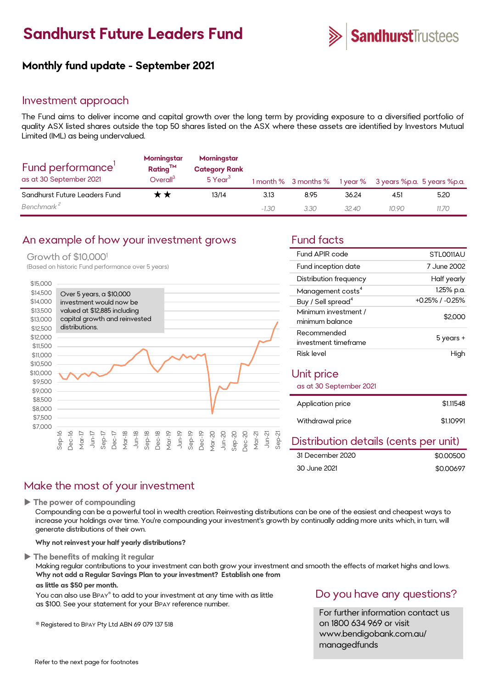## **Sandhurst Future Leaders Fund**



## **Monthly fund update - September 2021**

## Investment approach

The Fund aims to deliver income and capital growth over the long term by providing exposure to a diversified portfolio of quality ASX listed shares outside the top 50 shares listed on the ASX where these assets are identified by Investors Mutual Limited (IML) as being undervalued.

| Fund performance'<br>as at 30 September 2021 | Morningstar<br>$Rating^{TM}$<br>Overall <sup>3</sup> | Morningstar<br><b>Category Rank</b><br>5 Year <sup>3</sup> |         | 1 month % 3 months % |       | 1 year % 3 years %p.a. 5 years %p.a. |       |
|----------------------------------------------|------------------------------------------------------|------------------------------------------------------------|---------|----------------------|-------|--------------------------------------|-------|
| Sandhurst Future Leaders Fund                | <b>x ★</b>                                           | 13/14                                                      | 3.13    | 8.95                 | 36.24 | 4.51                                 | 5.20  |
| Benchmark <sup>2</sup>                       |                                                      |                                                            | $-1.30$ | 3.30                 | 32.40 | 10.90                                | 11.70 |

## An example of how your investment grows Fund facts

### Growth of \$10,000<sup>1</sup>

(Based on historic Fund performance over 5 years)



| Fund APIR code                          | STLO011AU       |
|-----------------------------------------|-----------------|
| Fund inception date                     | 7 June 2002     |
| Distribution frequency                  | Half yearly     |
| Management costs <sup>4</sup>           | 1.25% p.a.      |
| Buy / Sell spread <sup>4</sup>          | +0.25% / -0.25% |
| Minimum investment /<br>minimum balance | \$2,000         |
| Recommended<br>investment timeframe     | 5 years +       |
| Risk level                              | High            |
| Unit price<br>as at 30 September 2021   |                 |
| Application price                       | \$1.11548       |
| Withdrawal price                        | \$1.10991       |

## Distribution details (cents per unit)

| 31 December 2020 | \$0.00500 |
|------------------|-----------|
| 30 June 2021     | \$0.00697 |

## Make the most of your investment

**The power of compounding**

Compounding can be a powerful tool in wealth creation. Reinvesting distributions can be one of the easiest and cheapest ways to increase your holdings over time. You're compounding your investment's growth by continually adding more units which, in turn, will generate distributions of their own.

#### **Why not reinvest your half yearly distributions?**

**The benefits of making it regular**

Making regular contributions to your investment can both grow your investment and smooth the effects of market highs and lows. **Why not add a Regular Savings Plan to your investment? Establish one from**

### **as little as \$50 per month.**

You can also use BPAY® to add to your investment at any time with as little as \$100. See your statement for your BPAY reference number.

® Registered to BPAY Pty Ltd ABN 69 079 137 518

## Do you have any questions?

For further information contact us on 1800 634 969 or visit www.bendigobank.com.au/ managedfunds